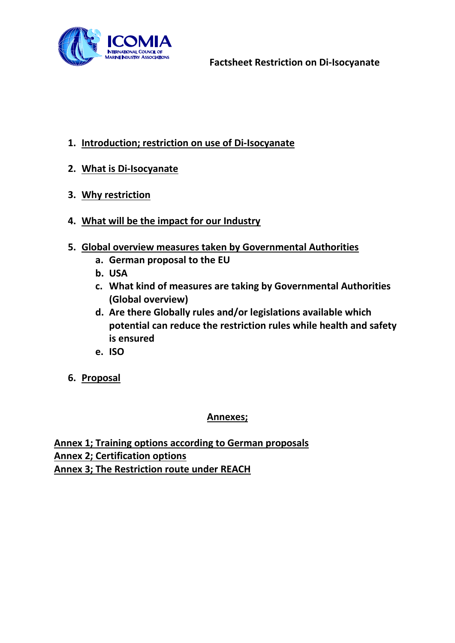

- **1. Introduction; restriction on use of Di-Isocyanate**
- **2. What is Di-Isocyanate**
- **3. Why restriction**
- **4. What will be the impact for our Industry**
- **5. Global overview measures taken by Governmental Authorities**
	- **a. German proposal to the EU**
	- **b. USA**
	- **c. What kind of measures are taking by Governmental Authorities (Global overview)**
	- **d. Are there Globally rules and/or legislations available which potential can reduce the restriction rules while health and safety is ensured**
	- **e. ISO**
- **6. Proposal**

## **Annexes;**

**Annex 1; Training options according to German proposals Annex 2; Certification options Annex 3; The Restriction route under REACH**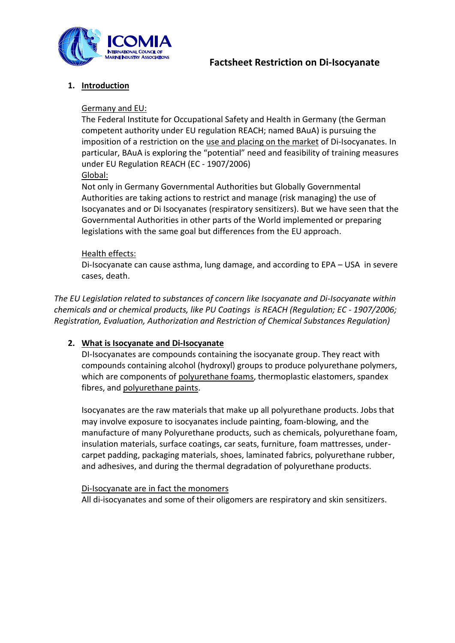

## **1. Introduction**

#### Germany and EU:

The Federal Institute for Occupational Safety and Health in Germany (the German competent authority under EU regulation REACH; named BAuA) is pursuing the imposition of a restriction on the use and placing on the market of Di-Isocyanates. In particular, BAuA is exploring the "potential" need and feasibility of training measures under EU Regulation REACH (EC - 1907/2006) Global:

Not only in Germany Governmental Authorities but Globally Governmental Authorities are taking actions to restrict and manage (risk managing) the use of Isocyanates and or Di Isocyanates (respiratory sensitizers). But we have seen that the Governmental Authorities in other parts of the World implemented or preparing legislations with the same goal but differences from the EU approach.

#### Health effects:

Di-Isocyanate can cause asthma, lung damage, and according to EPA – USA in severe cases, death.

*The EU Legislation related to substances of concern like Isocyanate and Di-Isocyanate within chemicals and or chemical products, like PU Coatings is REACH (Regulation; EC - 1907/2006; Registration, Evaluation, Authorization and Restriction of Chemical Substances Regulation)*

#### **2. What is Isocyanate and Di-Isocyanate**

DI-Isocyanates are compounds containing the isocyanate group. They react with compounds containing alcohol (hydroxyl) groups to produce polyurethane polymers, which are components of polyurethane foams, thermoplastic elastomers, spandex fibres, and polyurethane paints.

Isocyanates are the raw materials that make up all polyurethane products. Jobs that may involve exposure to isocyanates include painting, foam-blowing, and the manufacture of many Polyurethane products, such as chemicals, polyurethane foam, insulation materials, surface coatings, car seats, furniture, foam mattresses, undercarpet padding, packaging materials, shoes, laminated fabrics, polyurethane rubber, and adhesives, and during the thermal degradation of polyurethane products.

#### Di-Isocyanate are in fact the monomers

All di-isocyanates and some of their oligomers are respiratory and skin sensitizers.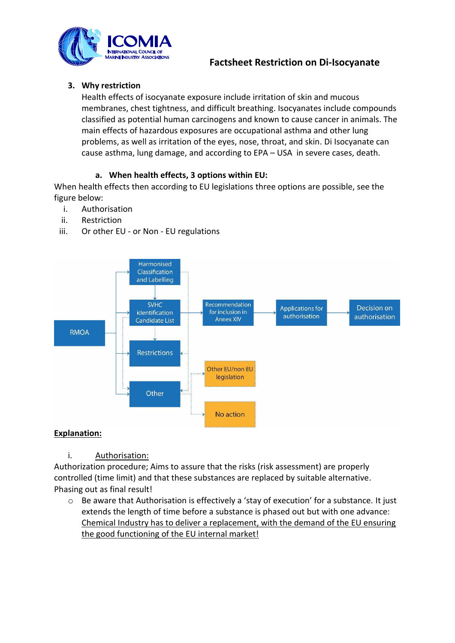

## **3. Why restriction**

Health effects of isocyanate exposure include irritation of skin and mucous membranes, chest tightness, and difficult breathing. Isocyanates include compounds classified as potential human carcinogens and known to cause cancer in animals. The main effects of hazardous exposures are occupational asthma and other lung problems, as well as irritation of the eyes, nose, throat, and skin. Di Isocyanate can cause asthma, lung damage, and according to EPA – USA in severe cases, death.

## **a. When health effects, 3 options within EU:**

When health effects then according to EU legislations three options are possible, see the figure below:

- i. Authorisation
- ii. Restriction
- iii. Or other EU or Non EU regulations



## **Explanation:**

i. Authorisation:

Authorization procedure; Aims to assure that the risks (risk assessment) are properly controlled (time limit) and that these substances are replaced by suitable alternative. Phasing out as final result!

o Be aware that Authorisation is effectively a 'stay of execution' for a substance. It just extends the length of time before a substance is phased out but with one advance: Chemical Industry has to deliver a replacement, with the demand of the EU ensuring the good functioning of the EU internal market!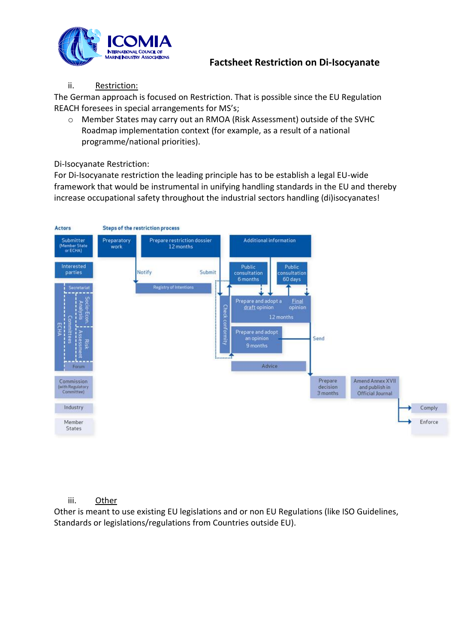

#### ii. Restriction:

The German approach is focused on Restriction. That is possible since the EU Regulation REACH foresees in special arrangements for MS's;

o Member States may carry out an RMOA (Risk Assessment) outside of the SVHC Roadmap implementation context (for example, as a result of a national programme/national priorities).

#### Di-Isocyanate Restriction:

For Di-Isocyanate restriction the leading principle has to be establish a legal EU-wide framework that would be instrumental in unifying handling standards in the EU and thereby increase occupational safety throughout the industrial sectors handling (di)isocyanates!



#### iii. Other

Other is meant to use existing EU legislations and or non EU Regulations (like ISO Guidelines, Standards or legislations/regulations from Countries outside EU).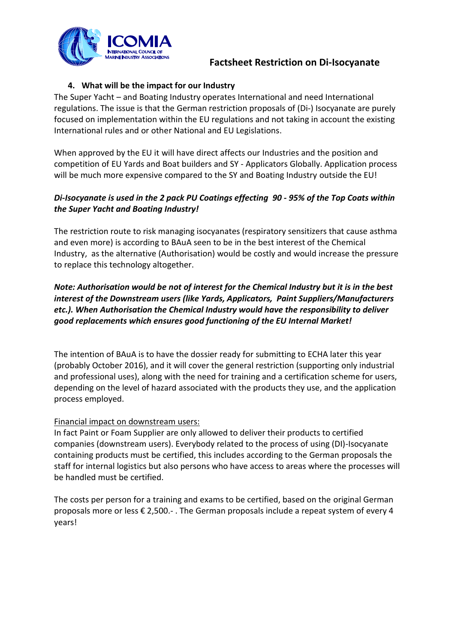

## **4. What will be the impact for our Industry**

The Super Yacht – and Boating Industry operates International and need International regulations. The issue is that the German restriction proposals of (Di-) Isocyanate are purely focused on implementation within the EU regulations and not taking in account the existing International rules and or other National and EU Legislations.

When approved by the EU it will have direct affects our Industries and the position and competition of EU Yards and Boat builders and SY - Applicators Globally. Application process will be much more expensive compared to the SY and Boating Industry outside the EU!

## *Di-Isocyanate is used in the 2 pack PU Coatings effecting 90 - 95% of the Top Coats within the Super Yacht and Boating Industry!*

The restriction route to risk managing isocyanates (respiratory sensitizers that cause asthma and even more) is according to BAuA seen to be in the best interest of the Chemical Industry, as the alternative (Authorisation) would be costly and would increase the pressure to replace this technology altogether.

## *Note: Authorisation would be not of interest for the Chemical Industry but it is in the best interest of the Downstream users (like Yards, Applicators, Paint Suppliers/Manufacturers etc.). When Authorisation the Chemical Industry would have the responsibility to deliver good replacements which ensures good functioning of the EU Internal Market!*

The intention of BAuA is to have the dossier ready for submitting to ECHA later this year (probably October 2016), and it will cover the general restriction (supporting only industrial and professional uses), along with the need for training and a certification scheme for users, depending on the level of hazard associated with the products they use, and the application process employed.

#### Financial impact on downstream users:

In fact Paint or Foam Supplier are only allowed to deliver their products to certified companies (downstream users). Everybody related to the process of using (DI)-Isocyanate containing products must be certified, this includes according to the German proposals the staff for internal logistics but also persons who have access to areas where the processes will be handled must be certified.

The costs per person for a training and exams to be certified, based on the original German proposals more or less € 2,500.- . The German proposals include a repeat system of every 4 years!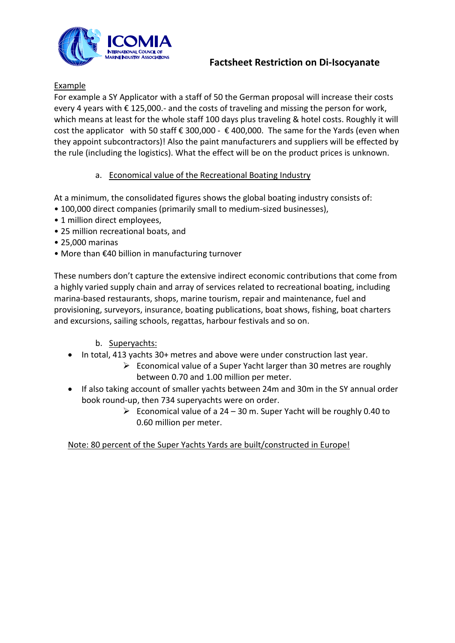

## **Example**

For example a SY Applicator with a staff of 50 the German proposal will increase their costs every 4 years with € 125,000.- and the costs of traveling and missing the person for work, which means at least for the whole staff 100 days plus traveling & hotel costs. Roughly it will cost the applicator with 50 staff  $\epsilon$  300,000 -  $\epsilon$  400,000. The same for the Yards (even when they appoint subcontractors)! Also the paint manufacturers and suppliers will be effected by the rule (including the logistics). What the effect will be on the product prices is unknown.

## a. Economical value of the Recreational Boating Industry

At a minimum, the consolidated figures shows the global boating industry consists of:

- 100,000 direct companies (primarily small to medium-sized businesses),
- 1 million direct employees,
- 25 million recreational boats, and
- 25,000 marinas
- More than €40 billion in manufacturing turnover

These numbers don't capture the extensive indirect economic contributions that come from a highly varied supply chain and array of services related to recreational boating, including marina-based restaurants, shops, marine tourism, repair and maintenance, fuel and provisioning, surveyors, insurance, boating publications, boat shows, fishing, boat charters and excursions, sailing schools, regattas, harbour festivals and so on.

- b. Superyachts:
- In total, 413 yachts 30+ metres and above were under construction last year.
	- $\triangleright$  Economical value of a Super Yacht larger than 30 metres are roughly between 0.70 and 1.00 million per meter.
- If also taking account of smaller yachts between 24m and 30m in the SY annual order book round-up, then 734 superyachts were on order.
	- Economical value of a  $24 30$  m. Super Yacht will be roughly 0.40 to 0.60 million per meter.

Note: 80 percent of the Super Yachts Yards are built/constructed in Europe!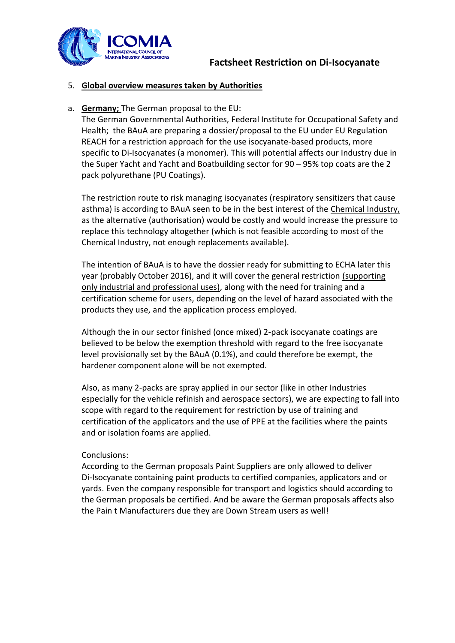

## 5. **Global overview measures taken by Authorities**

#### a. **Germany;** The German proposal to the EU:

The German Governmental Authorities, Federal Institute for Occupational Safety and Health; the BAuA are preparing a dossier/proposal to the EU under EU Regulation REACH for a restriction approach for the use isocyanate-based products, more specific to Di-Isocyanates (a monomer). This will potential affects our Industry due in the Super Yacht and Yacht and Boatbuilding sector for 90 – 95% top coats are the 2 pack polyurethane (PU Coatings).

The restriction route to risk managing isocyanates (respiratory sensitizers that cause asthma) is according to BAuA seen to be in the best interest of the Chemical Industry, as the alternative (authorisation) would be costly and would increase the pressure to replace this technology altogether (which is not feasible according to most of the Chemical Industry, not enough replacements available).

The intention of BAuA is to have the dossier ready for submitting to ECHA later this year (probably October 2016), and it will cover the general restriction (supporting only industrial and professional uses), along with the need for training and a certification scheme for users, depending on the level of hazard associated with the products they use, and the application process employed.

Although the in our sector finished (once mixed) 2-pack isocyanate coatings are believed to be below the exemption threshold with regard to the free isocyanate level provisionally set by the BAuA (0.1%), and could therefore be exempt, the hardener component alone will be not exempted.

Also, as many 2-packs are spray applied in our sector (like in other Industries especially for the vehicle refinish and aerospace sectors), we are expecting to fall into scope with regard to the requirement for restriction by use of training and certification of the applicators and the use of PPE at the facilities where the paints and or isolation foams are applied.

#### Conclusions:

According to the German proposals Paint Suppliers are only allowed to deliver Di-Isocyanate containing paint products to certified companies, applicators and or yards. Even the company responsible for transport and logistics should according to the German proposals be certified. And be aware the German proposals affects also the Pain t Manufacturers due they are Down Stream users as well!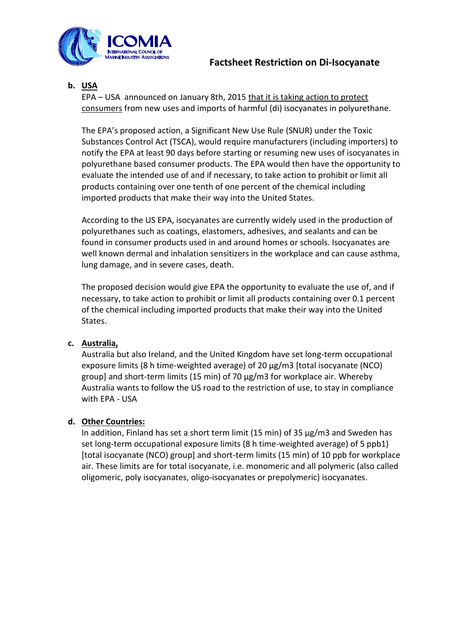

## **b. USA**

EPA – USA announced on January 8th, 2015 that it is taking action to protect consumers from new uses and imports of harmful (di) isocyanates in polyurethane.

The EPA's proposed action, a Significant New Use Rule (SNUR) under the Toxic Substances Control Act (TSCA), would require manufacturers (including importers) to notify the EPA at least 90 days before starting or resuming new uses of isocyanates in polyurethane based consumer products. The EPA would then have the opportunity to evaluate the intended use of and if necessary, to take action to prohibit or limit all products containing over one tenth of one percent of the chemical including imported products that make their way into the United States.

According to the US EPA, isocyanates are currently widely used in the production of polyurethanes such as coatings, elastomers, adhesives, and sealants and can be found in consumer products used in and around homes or schools. Isocyanates are well known dermal and inhalation sensitizers in the workplace and can cause asthma, lung damage, and in severe cases, death.

The proposed decision would give EPA the opportunity to evaluate the use of, and if necessary, to take action to prohibit or limit all products containing over 0.1 percent of the chemical including imported products that make their way into the United States.

#### **c. Australia,**

Australia but also Ireland, and the United Kingdom have set long-term occupational exposure limits (8 h time-weighted average) of 20 µg/m3 [total isocyanate (NCO) group] and short-term limits (15 min) of 70 µg/m3 for workplace air. Whereby Australia wants to follow the US road to the restriction of use, to stay in compliance with EPA - USA

#### **d. Other Countries:**

In addition, Finland has set a short term limit (15 min) of 35 µg/m3 and Sweden has set long-term occupational exposure limits (8 h time-weighted average) of 5 ppb1) [total isocyanate (NCO) group] and short-term limits (15 min) of 10 ppb for workplace air. These limits are for total isocyanate, i.e. monomeric and all polymeric (also called oligomeric, poly isocyanates, oligo-isocyanates or prepolymeric) isocyanates.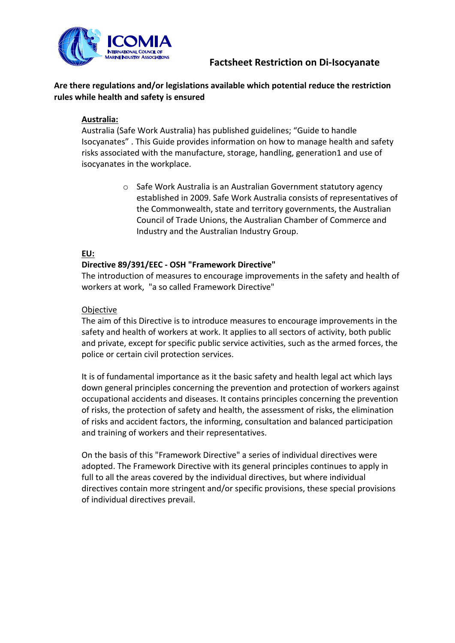

#### **Are there regulations and/or legislations available which potential reduce the restriction rules while health and safety is ensured**

#### **Australia:**

Australia (Safe Work Australia) has published guidelines; "Guide to handle Isocyanates" . This Guide provides information on how to manage health and safety risks associated with the manufacture, storage, handling, generation1 and use of isocyanates in the workplace.

> o Safe Work Australia is an Australian Government statutory agency established in 2009. Safe Work Australia consists of representatives of the Commonwealth, state and territory governments, the Australian Council of Trade Unions, the Australian Chamber of Commerce and Industry and the Australian Industry Group.

#### **EU:**

#### **Directive 89/391/EEC - OSH "Framework Directive"**

The introduction of measures to encourage improvements in the safety and health of workers at work, "a so called Framework Directive"

#### Objective

The aim of this Directive is to introduce measures to encourage improvements in the safety and health of workers at work. It applies to all sectors of activity, both public and private, except for specific public service activities, such as the armed forces, the police or certain civil protection services.

It is of fundamental importance as it the basic safety and health legal act which lays down general principles concerning the prevention and protection of workers against occupational accidents and diseases. It contains principles concerning the prevention of risks, the protection of safety and health, the assessment of risks, the elimination of risks and accident factors, the informing, consultation and balanced participation and training of workers and their representatives.

On the basis of this "Framework Directive" a series of individual directives were adopted. The Framework Directive with its general principles continues to apply in full to all the areas covered by the individual directives, but where individual directives contain more stringent and/or specific provisions, these special provisions of individual directives prevail.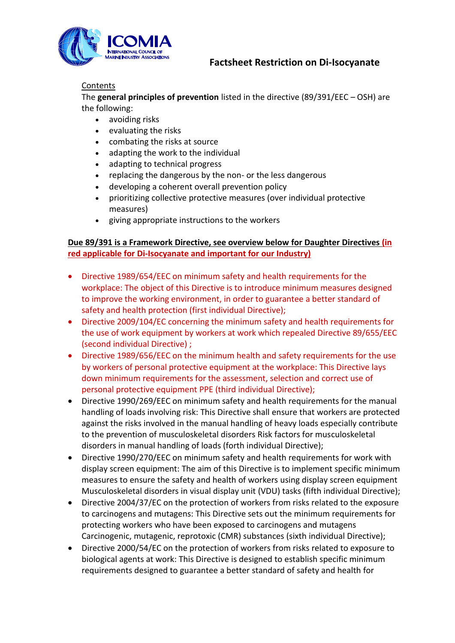

#### **Contents**

The **general principles of prevention** listed in the directive (89/391/EEC – OSH) are the following:

- avoiding risks
- evaluating the risks
- combating the risks at source
- adapting the work to the individual
- adapting to technical progress
- replacing the dangerous by the non- or the less dangerous
- developing a coherent overall prevention policy
- prioritizing collective protective measures (over individual protective measures)
- giving appropriate instructions to the workers

#### **Due 89/391 is a Framework Directive, see overview below for Daughter Directives (in red applicable for Di-Isocyanate and important for our Industry)**

- Directive 1989/654/EEC on minimum safety and health requirements for the workplace: The object of this Directive is to introduce minimum measures designed to improve the working environment, in order to guarantee a better standard of safety and health protection (first individual Directive);
- Directive 2009/104/EC concerning the minimum safety and health requirements for the use of work equipment by workers at work which repealed Directive 89/655/EEC (second individual Directive) ;
- Directive 1989/656/EEC on the minimum health and safety requirements for the use by workers of personal protective equipment at the workplace: This Directive lays down minimum requirements for the assessment, selection and correct use of personal protective equipment PPE (third individual Directive);
- Directive 1990/269/EEC on minimum safety and health requirements for the manual handling of loads involving risk: This Directive shall ensure that workers are protected against the risks involved in the manual handling of heavy loads especially contribute to the prevention of musculoskeletal disorders Risk factors for musculoskeletal disorders in manual handling of loads (forth individual Directive);
- Directive 1990/270/EEC on minimum safety and health requirements for work with display screen equipment: The aim of this Directive is to implement specific minimum measures to ensure the safety and health of workers using display screen equipment Musculoskeletal disorders in visual display unit (VDU) tasks (fifth individual Directive);
- Directive 2004/37/EC on the protection of workers from risks related to the exposure to carcinogens and mutagens: This Directive sets out the minimum requirements for protecting workers who have been exposed to carcinogens and mutagens Carcinogenic, mutagenic, reprotoxic (CMR) substances (sixth individual Directive);
- Directive 2000/54/EC on the protection of workers from risks related to exposure to biological agents at work: This Directive is designed to establish specific minimum requirements designed to guarantee a better standard of safety and health for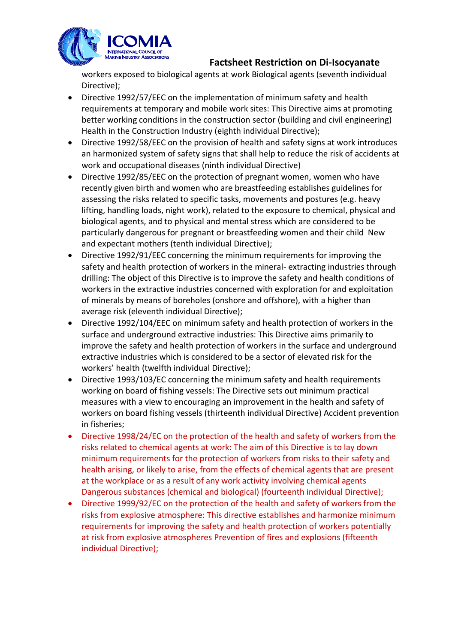

workers exposed to biological agents at work Biological agents (seventh individual Directive);

- Directive 1992/57/EEC on the implementation of minimum safety and health requirements at temporary and mobile work sites: This Directive aims at promoting better working conditions in the construction sector (building and civil engineering) Health in the Construction Industry (eighth individual Directive);
- Directive 1992/58/EEC on the provision of health and safety signs at work introduces an harmonized system of safety signs that shall help to reduce the risk of accidents at work and occupational diseases (ninth individual Directive)
- Directive 1992/85/EEC on the protection of pregnant women, women who have recently given birth and women who are breastfeeding establishes guidelines for assessing the risks related to specific tasks, movements and postures (e.g. heavy lifting, handling loads, night work), related to the exposure to chemical, physical and biological agents, and to physical and mental stress which are considered to be particularly dangerous for pregnant or breastfeeding women and their child New and expectant mothers (tenth individual Directive);
- Directive 1992/91/EEC concerning the minimum requirements for improving the safety and health protection of workers in the mineral- extracting industries through drilling: The object of this Directive is to improve the safety and health conditions of workers in the extractive industries concerned with exploration for and exploitation of minerals by means of boreholes (onshore and offshore), with a higher than average risk (eleventh individual Directive);
- Directive 1992/104/EEC on minimum safety and health protection of workers in the surface and underground extractive industries: This Directive aims primarily to improve the safety and health protection of workers in the surface and underground extractive industries which is considered to be a sector of elevated risk for the workers' health (twelfth individual Directive);
- Directive 1993/103/EC concerning the minimum safety and health requirements working on board of fishing vessels: The Directive sets out minimum practical measures with a view to encouraging an improvement in the health and safety of workers on board fishing vessels (thirteenth individual Directive) Accident prevention in fisheries;
- Directive 1998/24/EC on the protection of the health and safety of workers from the risks related to chemical agents at work: The aim of this Directive is to lay down minimum requirements for the protection of workers from risks to their safety and health arising, or likely to arise, from the effects of chemical agents that are present at the workplace or as a result of any work activity involving chemical agents Dangerous substances (chemical and biological) (fourteenth individual Directive);
- Directive 1999/92/EC on the protection of the health and safety of workers from the risks from explosive atmosphere: This directive establishes and harmonize minimum requirements for improving the safety and health protection of workers potentially at risk from explosive atmospheres Prevention of fires and explosions (fifteenth individual Directive);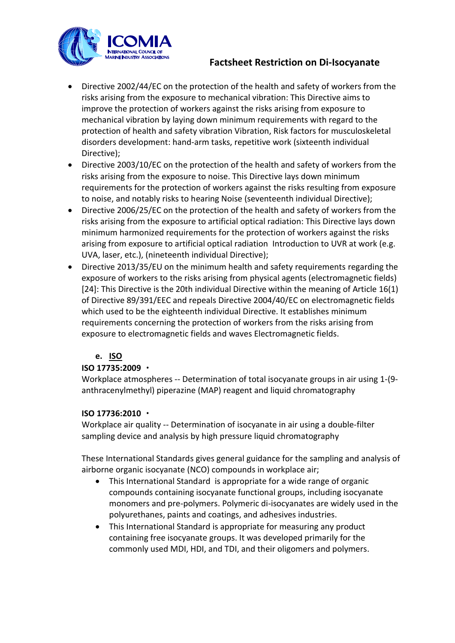

- Directive 2002/44/EC on the protection of the health and safety of workers from the risks arising from the exposure to mechanical vibration: This Directive aims to improve the protection of workers against the risks arising from exposure to mechanical vibration by laying down minimum requirements with regard to the protection of health and safety vibration Vibration, Risk factors for musculoskeletal disorders development: hand-arm tasks, repetitive work (sixteenth individual Directive);
- Directive 2003/10/EC on the protection of the health and safety of workers from the risks arising from the exposure to noise. This Directive lays down minimum requirements for the protection of workers against the risks resulting from exposure to noise, and notably risks to hearing Noise (seventeenth individual Directive);
- Directive 2006/25/EC on the protection of the health and safety of workers from the risks arising from the exposure to artificial optical radiation: This Directive lays down minimum harmonized requirements for the protection of workers against the risks arising from exposure to artificial optical radiation Introduction to UVR at work (e.g. UVA, laser, etc.), (nineteenth individual Directive);
- Directive 2013/35/EU on the minimum health and safety requirements regarding the exposure of workers to the risks arising from physical agents (electromagnetic fields) [24]: This Directive is the 20th individual Directive within the meaning of Article 16(1) of Directive 89/391/EEC and repeals Directive 2004/40/EC on electromagnetic fields which used to be the eighteenth individual Directive. It establishes minimum requirements concerning the protection of workers from the risks arising from exposure to electromagnetic fields and waves Electromagnetic fields.

## **e. ISO**

## **ISO 17735:2009**

Workplace atmospheres -- Determination of total isocyanate groups in air using 1-(9 anthracenylmethyl) piperazine (MAP) reagent and liquid chromatography

## **ISO 17736:2010**

Workplace air quality -- Determination of isocyanate in air using a double-filter sampling device and analysis by high pressure liquid chromatography

These International Standards gives general guidance for the sampling and analysis of airborne organic isocyanate (NCO) compounds in workplace air;

- This International Standard is appropriate for a wide range of organic compounds containing isocyanate functional groups, including isocyanate monomers and pre-polymers. Polymeric di-isocyanates are widely used in the polyurethanes, paints and coatings, and adhesives industries.
- This International Standard is appropriate for measuring any product containing free isocyanate groups. It was developed primarily for the commonly used MDI, HDI, and TDI, and their oligomers and polymers.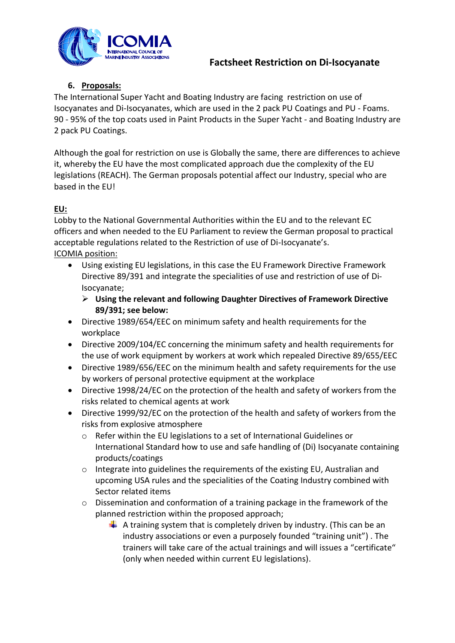

## **6. Proposals:**

The International Super Yacht and Boating Industry are facing restriction on use of Isocyanates and Di-Isocyanates, which are used in the 2 pack PU Coatings and PU - Foams. 90 - 95% of the top coats used in Paint Products in the Super Yacht - and Boating Industry are 2 pack PU Coatings.

Although the goal for restriction on use is Globally the same, there are differences to achieve it, whereby the EU have the most complicated approach due the complexity of the EU legislations (REACH). The German proposals potential affect our Industry, special who are based in the EU!

## **EU:**

Lobby to the National Governmental Authorities within the EU and to the relevant EC officers and when needed to the EU Parliament to review the German proposal to practical acceptable regulations related to the Restriction of use of Di-Isocyanate's. ICOMIA position:

- Using existing EU legislations, in this case the EU Framework Directive Framework Directive 89/391 and integrate the specialities of use and restriction of use of Di-Isocyanate;
	- **Using the relevant and following Daughter Directives of Framework Directive 89/391; see below:**
- Directive 1989/654/EEC on minimum safety and health requirements for the workplace
- Directive 2009/104/EC concerning the minimum safety and health requirements for the use of work equipment by workers at work which repealed Directive 89/655/EEC
- Directive 1989/656/EEC on the minimum health and safety requirements for the use by workers of personal protective equipment at the workplace
- Directive 1998/24/EC on the protection of the health and safety of workers from the risks related to chemical agents at work
- Directive 1999/92/EC on the protection of the health and safety of workers from the risks from explosive atmosphere
	- o Refer within the EU legislations to a set of International Guidelines or International Standard how to use and safe handling of (Di) Isocyanate containing products/coatings
	- $\circ$  Integrate into guidelines the requirements of the existing EU, Australian and upcoming USA rules and the specialities of the Coating Industry combined with Sector related items
	- o Dissemination and conformation of a training package in the framework of the planned restriction within the proposed approach;
		- $\overline{+}$  A training system that is completely driven by industry. (This can be an industry associations or even a purposely founded "training unit") . The trainers will take care of the actual trainings and will issues a "certificate" (only when needed within current EU legislations).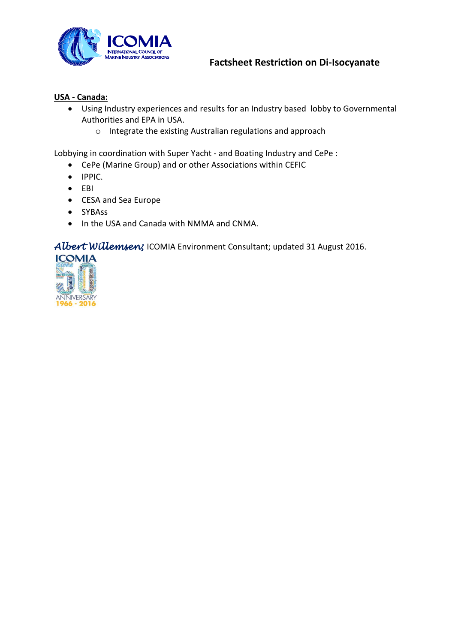

#### **USA - Canada:**

- Using Industry experiences and results for an Industry based lobby to Governmental Authorities and EPA in USA.
	- o Integrate the existing Australian regulations and approach

Lobbying in coordination with Super Yacht - and Boating Industry and CePe :

- CePe (Marine Group) and or other Associations within CEFIC
- IPPIC.
- $\bullet$  EBI
- CESA and Sea Europe
- SYBAss
- In the USA and Canada with NMMA and CNMA.

## *Albert Willemsen;* ICOMIA Environment Consultant; updated 31 August 2016.

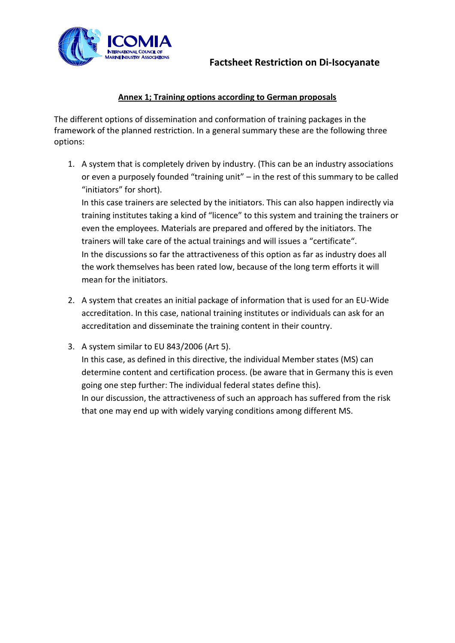



## **Annex 1; Training options according to German proposals**

The different options of dissemination and conformation of training packages in the framework of the planned restriction. In a general summary these are the following three options:

1. A system that is completely driven by industry. (This can be an industry associations or even a purposely founded "training unit" – in the rest of this summary to be called "initiators" for short).

In this case trainers are selected by the initiators. This can also happen indirectly via training institutes taking a kind of "licence" to this system and training the trainers or even the employees. Materials are prepared and offered by the initiators. The trainers will take care of the actual trainings and will issues a "certificate". In the discussions so far the attractiveness of this option as far as industry does all the work themselves has been rated low, because of the long term efforts it will mean for the initiators.

- 2. A system that creates an initial package of information that is used for an EU-Wide accreditation. In this case, national training institutes or individuals can ask for an accreditation and disseminate the training content in their country.
- 3. A system similar to EU 843/2006 (Art 5). In this case, as defined in this directive, the individual Member states (MS) can determine content and certification process. (be aware that in Germany this is even going one step further: The individual federal states define this). In our discussion, the attractiveness of such an approach has suffered from the risk that one may end up with widely varying conditions among different MS.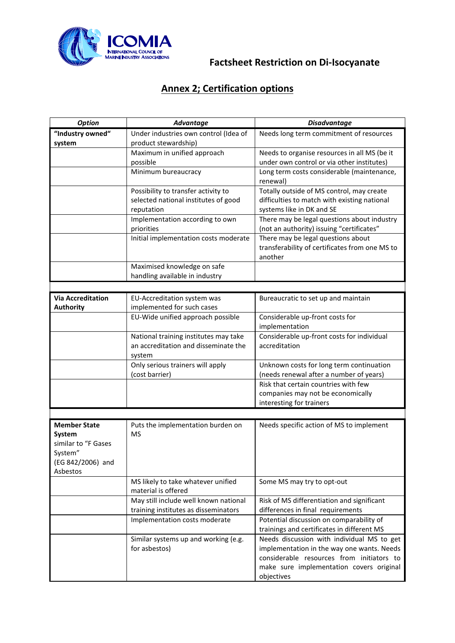

# **Annex 2; Certification options**

| <b>Option</b>            | Advantage                             | <b>Disadvantage</b>                            |  |  |  |
|--------------------------|---------------------------------------|------------------------------------------------|--|--|--|
| "Industry owned"         | Under industries own control (Idea of | Needs long term commitment of resources        |  |  |  |
| system                   | product stewardship)                  |                                                |  |  |  |
|                          | Maximum in unified approach           | Needs to organise resources in all MS (be it   |  |  |  |
|                          | possible                              | under own control or via other institutes)     |  |  |  |
|                          | Minimum bureaucracy                   | Long term costs considerable (maintenance,     |  |  |  |
|                          |                                       | renewal)                                       |  |  |  |
|                          | Possibility to transfer activity to   | Totally outside of MS control, may create      |  |  |  |
|                          | selected national institutes of good  | difficulties to match with existing national   |  |  |  |
|                          | reputation                            | systems like in DK and SE                      |  |  |  |
|                          | Implementation according to own       | There may be legal questions about industry    |  |  |  |
|                          | priorities                            | (not an authority) issuing "certificates"      |  |  |  |
|                          | Initial implementation costs moderate | There may be legal questions about             |  |  |  |
|                          |                                       | transferability of certificates from one MS to |  |  |  |
|                          |                                       | another                                        |  |  |  |
|                          | Maximised knowledge on safe           |                                                |  |  |  |
|                          | handling available in industry        |                                                |  |  |  |
|                          |                                       |                                                |  |  |  |
| <b>Via Accreditation</b> | EU-Accreditation system was           | Bureaucratic to set up and maintain            |  |  |  |
| <b>Authority</b>         | implemented for such cases            |                                                |  |  |  |
|                          | EU-Wide unified approach possible     | Considerable up-front costs for                |  |  |  |
|                          |                                       | implementation                                 |  |  |  |
|                          | National training institutes may take | Considerable up-front costs for individual     |  |  |  |
|                          | an accreditation and disseminate the  | accreditation                                  |  |  |  |
|                          | system                                |                                                |  |  |  |
|                          | Only serious trainers will apply      | Unknown costs for long term continuation       |  |  |  |
|                          | (cost barrier)                        | (needs renewal after a number of years)        |  |  |  |
|                          |                                       | Risk that certain countries with few           |  |  |  |
|                          |                                       | companies may not be economically              |  |  |  |
|                          |                                       | interesting for trainers                       |  |  |  |
|                          |                                       |                                                |  |  |  |
| <b>Member State</b>      | Puts the implementation burden on     | Needs specific action of MS to implement       |  |  |  |
| System                   | <b>MS</b>                             |                                                |  |  |  |
| similar to "F Gases      |                                       |                                                |  |  |  |
| System"                  |                                       |                                                |  |  |  |
| (EG 842/2006) and        |                                       |                                                |  |  |  |
| Asbestos                 |                                       |                                                |  |  |  |
|                          | MS likely to take whatever unified    | Some MS may try to opt-out                     |  |  |  |
|                          | material is offered                   |                                                |  |  |  |
|                          | May still include well known national | Risk of MS differentiation and significant     |  |  |  |
|                          | training institutes as disseminators  | differences in final requirements              |  |  |  |
|                          | Implementation costs moderate         | Potential discussion on comparability of       |  |  |  |
|                          |                                       | trainings and certificates in different MS     |  |  |  |
|                          | Similar systems up and working (e.g.  | Needs discussion with individual MS to get     |  |  |  |
|                          | for asbestos)                         | implementation in the way one wants. Needs     |  |  |  |
|                          |                                       | considerable resources from initiators to      |  |  |  |
|                          |                                       | make sure implementation covers original       |  |  |  |
|                          |                                       | objectives                                     |  |  |  |